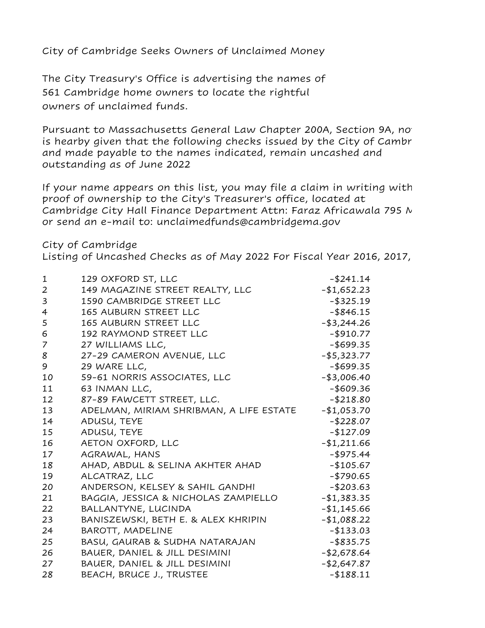City of Cambridge Seeks Owners of Unclaimed Money

The City Treasury's Office is advertising the names of 561 Cambridge home owners to locate the rightful owners of unclaimed funds.

Pursuant to Massachusetts General Law Chapter 200A, Section 9A, no is hearby given that the following checks issued by the City of Cambr and made payable to the names indicated, remain uncashed and outstanding as of June 2022

If your name appears on this list, you may file a claim in writing with proof of ownership to the City's Treasurer's office, located at Cambridge City Hall Finance Department Attn: Faraz Africawala 795 N or send an e-mail to: unclaimedfunds@cambridgema.gov

City of Cambridge

Listing of Uncashed Checks as of May 2022 For Fiscal Year 2016, 2017,

| $\mathbf{1}$   | 129 OXFORD ST, LLC                      | $-$ \$241.14   |
|----------------|-----------------------------------------|----------------|
| $\overline{2}$ | 149 MAGAZINE STREET REALTY, LLC         | $-$1,652.23$   |
| 3              | 1590 CAMBRIDGE STREET LLC               | $-$ \$325.19   |
| $\overline{4}$ | 165 AUBURN STREET LLC                   | $-$ \$846.15   |
| 5              | 165 AUBURN STREET LLC                   | $-$ \$3,244.26 |
| 6              | 192 RAYMOND STREET LLC                  | $-$ \$910.77   |
| 7              | 27 WILLIAMS LLC,                        | $-$ \$699.35   |
| 8              | 27-29 CAMERON AVENUE, LLC               | $-$ \$5,323.77 |
| 9              | 29 WARE LLC,                            | $-$ \$699.35   |
| 10             | 59-61 NORRIS ASSOCIATES, LLC            | $-$ \$3,006.40 |
| 11             | 63 INMAN LLC,                           | $-$ \$609.36   |
| 12             | 87-89 FAWCETT STREET, LLC.              | $-$ \$218.80   |
| 13             | ADELMAN, MIRIAM SHRIBMAN, A LIFE ESTATE | $-$1,053.70$   |
| 14             | ADUSU, TEYE                             | $-$228.07$     |
| 15             | ADUSU, TEYE                             | $-$127.09$     |
| 16             | AETON OXFORD, LLC                       | $-$1,211.66$   |
| 17             | AGRAWAL, HANS                           | $-$ \$975.44   |
| 18             | AHAD, ABDUL & SELINA AKHTER AHAD        | $-$ \$105.67   |
| 19             | ALCATRAZ, LLC                           | $-$ \$790.65   |
| 20             | ANDERSON, KELSEY & SAHIL GANDHI         | $-$203.63$     |
| 21             | BAGGIA, JESSICA & NICHOLAS ZAMPIELLO    | $-$1,383.35$   |
| 22             | BALLANTYNE, LUCINDA                     | $-$1,145.66$   |
| 23             | BANISZEWSKI, BETH E. & ALEX KHRIPIN     | $-$1,088.22$   |
| 24             | BAROTT, MADELINE                        | $-$ \$133.03   |
| 25             | BASU, GAURAB & SUDHA NATARAJAN          | $-$ \$835.75   |
| 26             | BAUER, DANIEL & JILL DESIMINI           | $-$ \$2,678.64 |
| 27             | BAUER, DANIEL & JILL DESIMINI           | $-$ \$2,647.87 |
| 28             | BEACH, BRUCE J., TRUSTEE                | $-188.11$      |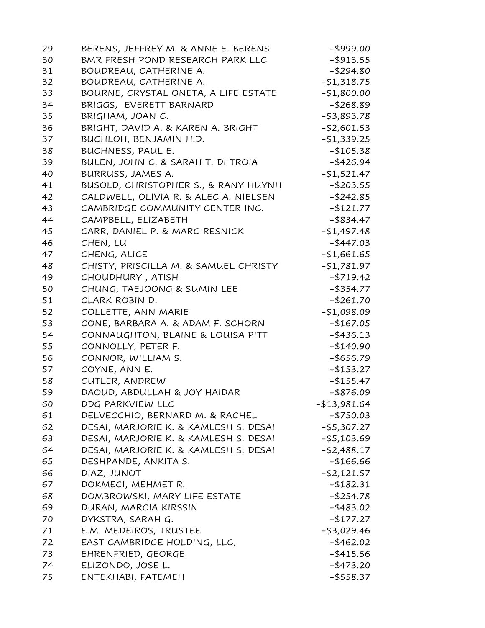| 29 | BERENS, JEFFREY M. & ANNE E. BERENS   | $-$ \$999.00   |
|----|---------------------------------------|----------------|
| 30 | BMR FRESH POND RESEARCH PARK LLC      | $-$ \$913.55   |
| 31 | BOUDREAU, CATHERINE A.                | $-$ \$294.80   |
| 32 | BOUDREAU, CATHERINE A.                | -\$1,318.75    |
| 33 | BOURNE, CRYSTAL ONETA, A LIFE ESTATE  | $-$1,800.00$   |
| 34 | BRIGGS, EVERETT BARNARD               | $-$ \$268.89   |
| 35 | BRIGHAM, JOAN C.                      | $-$ \$3,893.78 |
| 36 | BRIGHT, DAVID A. & KAREN A. BRIGHT    | $-$ \$2,601.53 |
| 37 | BUCHLOH, BENJAMIN H.D.                | $-1,339.25$    |
| 38 | BUCHNESS, PAUL E.                     | $-$105.38$     |
| 39 | BULEN, JOHN C. & SARAH T. DI TROIA    | $-$ \$426.94   |
| 40 | BURRUSS, JAMES A.                     | $-$1,521.47$   |
| 41 | BUSOLD, CHRISTOPHER S., & RANY HUYNH  | $-$ \$203.55   |
| 42 | CALDWELL, OLIVIA R. & ALEC A. NIELSEN | $-$ \$242.85   |
| 43 | CAMBRIDGE COMMUNITY CENTER INC.       | $-$121.77$     |
| 44 | CAMPBELL, ELIZABETH                   | $-$ \$834.47   |
| 45 | CARR, DANIEL P. & MARC RESNICK        | $-1,497.48$    |
| 46 | CHEN, LU                              | $-$ \$447.03   |
| 47 | CHENG, ALICE                          | $-$1,661.65$   |
| 48 | CHISTY, PRISCILLA M. & SAMUEL CHRISTY | -\$1,781.97    |
| 49 | CHOUDHURY, ATISH                      | $-$ \$719.42   |
| 50 | CHUNG, TAEJOONG & SUMIN LEE           | $-$ \$354.77   |
| 51 | CLARK ROBIN D.                        | $-$ \$261.70   |
| 52 | COLLETTE, ANN MARIE                   | $-1,098.09$    |
| 53 | CONE, BARBARA A. & ADAM F. SCHORN     | $-$167.05$     |
| 54 | CONNAUGHTON, BLAINE & LOUISA PITT     | $-$ \$436.13   |
| 55 | CONNOLLY, PETER F.                    | $-140.90$      |
| 56 | CONNOR, WILLIAM S.                    | $-$ \$656.79   |
| 57 | COYNE, ANN E.                         | $-$ \$153.27   |
| 58 | CUTLER, ANDREW                        | $-$ \$155.47   |
| 59 | DAOUD, ABDULLAH & JOY HAIDAR          | $-$ \$876.09   |
| 60 | DDG PARKVIEW LLC                      | $-$13,981.64$  |
| 61 | DELVECCHIO, BERNARD M. & RACHEL       | $-$ \$750.03   |
| 62 | DESAI, MARJORIE K. & KAMLESH S. DESAI | $-$ \$5,307.27 |
| 63 | DESAI, MARJORIE K. & KAMLESH S. DESAI | -\$5,103.69    |
| 64 | DESAI, MARJORIE K. & KAMLESH S. DESAI | $-$ \$2,488.17 |
| 65 | DESHPANDE, ANKITA S.                  | $-$166.66$     |
| 66 | DIAZ, JUNOT                           | -\$2,121.57    |
| 67 | DOKMECI, MEHMET R.                    | $-182.31$      |
| 68 | DOMBROWSKI, MARY LIFE ESTATE          | $-$ \$254.78   |
| 69 | DURAN, MARCIA KIRSSIN                 | $-$ \$483.02   |
| 70 | DYKSTRA, SARAH G.                     | -\$177.27      |
| 71 | E.M. MEDEIROS, TRUSTEE                | -\$3,029.46    |
| 72 | EAST CAMBRIDGE HOLDING, LLC,          | $-$ \$462.02   |
| 73 | EHRENFRIED, GEORGE                    | $-$ \$415.56   |
| 74 | ELIZONDO, JOSE L.                     | $-$ \$473.20   |
| 75 | ENTEKHABI, FATEMEH                    | $-$ \$558.37   |
|    |                                       |                |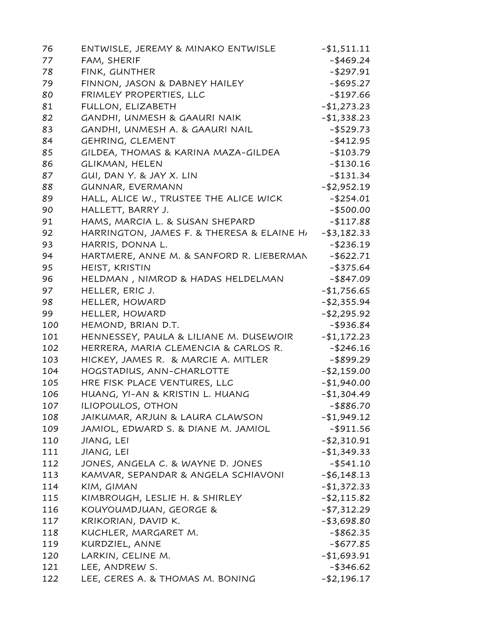| 76  | ENTWISLE, JEREMY & MINAKO ENTWISLE         | $-$ \$1,511.11 |
|-----|--------------------------------------------|----------------|
| 77  | FAM, SHERIF                                | $-$ \$469.24   |
| 78  | FINK, GUNTHER                              | $-$ \$297.91   |
| 79  | FINNON, JASON & DABNEY HAILEY              | $-$ \$695.27   |
| 80  | FRIMLEY PROPERTIES, LLC                    | $-$ \$197.66   |
| 81  | FULLON, ELIZABETH                          | $-$1,273.23$   |
| 82  | GANDHI, UNMESH & GAAURI NAIK               | $- $1,338.23$  |
| 83  | GANDHI, UNMESH A. & GAAURI NAIL            | $-$ \$529.73   |
| 84  | GEHRING, CLEMENT                           | $-$ \$412.95   |
| 85  | GILDEA, THOMAS & KARINA MAZA-GILDEA        | $-$103.79$     |
| 86  | <b>GLIKMAN, HELEN</b>                      | $-$ \$130.16   |
| 87  | GUI, DAN Y. & JAY X. LIN                   | $-$ \$131.34   |
| 88  | GUNNAR, EVERMANN                           | $-$ \$2,952.19 |
| 89  | HALL, ALICE W., TRUSTEE THE ALICE WICK     | $-$ \$254.01   |
| 90  | HALLETT, BARRY J.                          | $-$ \$500.00   |
| 91  | HAMS, MARCIA L. & SUSAN SHEPARD            | $-$117.88$     |
| 92  | HARRINGTON, JAMES F. & THERESA & ELAINE HI | $-$ \$3,182.33 |
| 93  | HARRIS, DONNA L.                           | $-$ \$236.19   |
| 94  | HARTMERE, ANNE M. & SANFORD R. LIEBERMAN   | $-$ \$622.71   |
| 95  | HEIST, KRISTIN                             | $-$ \$375.64   |
| 96  | HELDMAN, NIMROD & HADAS HELDELMAN          | $-$ \$847.09   |
| 97  | HELLER, ERIC J.                            | $-$1,756.65$   |
| 98  | HELLER, HOWARD                             | $- $2,355.94$  |
| 99  | HELLER, HOWARD                             | $-$ \$2,295.92 |
| 100 | HEMOND, BRIAN D.T.                         | $-$ \$936.84   |
| 101 | HENNESSEY, PAULA & LILIANE M. DUSEWOIR     | $-$1,172.23$   |
| 102 | HERRERA, MARIA CLEMENCIA & CARLOS R.       | $-$ \$246.16   |
| 103 | HICKEY, JAMES R. & MARCIE A. MITLER        | $-$ \$899.29   |
| 104 | HOGSTADIUS, ANN-CHARLOTTE                  | $-$ \$2,159.00 |
| 105 | HRE FISK PLACE VENTURES, LLC               | $-$1,940.00$   |
| 106 | HUANG, YI-AN & KRISTIN L. HUANG            | $-$1,304.49$   |
| 107 | ILIOPOULOS, OTHON                          | -\$886.70      |
| 108 | JAIKUMAR, ARJUN & LAURA CLAWSON            | $-1,949.12$    |
| 109 | JAMIOL, EDWARD S. & DIANE M. JAMIOL        | $-$ \$911.56   |
| 110 | JIANG, LEI                                 | $-$ \$2,310.91 |
| 111 | JIANG, LEI                                 | $- $1,349.33$  |
| 112 | JONES, ANGELA C. & WAYNE D. JONES          | $-$ \$541.10   |
| 113 | KAMVAR, SEPANDAR & ANGELA SCHIAVONI        | $-$ \$6,148.13 |
| 114 | KIM, GIMAN                                 | $-$1,372.33$   |
| 115 | KIMBROUGH, LESLIE H. & SHIRLEY             | $-$ \$2,115.82 |
| 116 | KOUYOUMDJUAN, GEORGE &                     | $-$ \$7,312.29 |
| 117 | KRIKORIAN, DAVID K.                        | $- $3,698.80$  |
| 118 | KUCHLER, MARGARET M.                       | $-$ \$862.35   |
| 119 | KURDZIEL, ANNE                             | $-$ \$677.85   |
| 120 | LARKIN, CELINE M.                          | -\$1,693.91    |
| 121 | LEE, ANDREW S.                             | $-$ \$346.62   |
| 122 | LEE, CERES A. & THOMAS M. BONING           | -\$2,196.17    |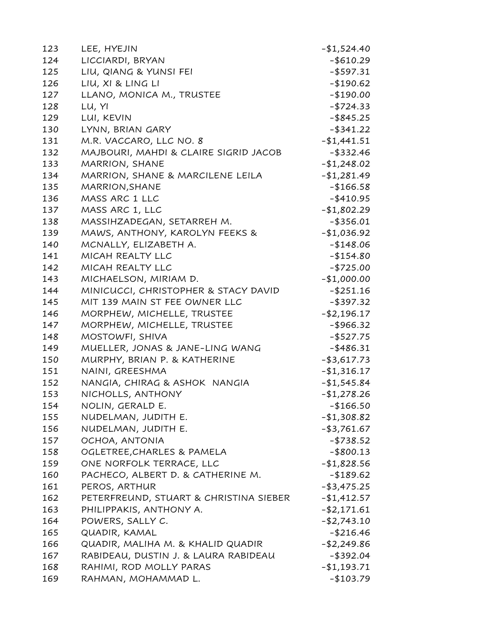| 123 | LEE, HYEJIN                            | $-$1,524.40$   |
|-----|----------------------------------------|----------------|
| 124 | LICCIARDI, BRYAN                       | $-$ \$610.29   |
| 125 | LIU, QIANG & YUNSI FEI                 | $-$ \$597.31   |
| 126 | LIU, XI & LING LI                      | $-$ \$190.62   |
| 127 | LLANO, MONICA M., TRUSTEE              | $-$190.00$     |
| 128 | LU, YI                                 | $- $724.33$    |
| 129 | LUI, KEVIN                             | $-$ \$845.25   |
| 130 | LYNN, BRIAN GARY                       | $-$ \$341.22   |
| 131 | M.R. VACCARO, LLC NO. 8                | $-$1,441.51$   |
| 132 | MAJBOURI, MAHDI & CLAIRE SIGRID JACOB  | $-$ \$332.46   |
| 133 | MARRION, SHANE                         | $-$1,248.02$   |
| 134 | MARRION, SHANE & MARCILENE LEILA       | -\$1,281.49    |
| 135 | MARRION, SHANE                         | $-$ \$166.58   |
| 136 | MASS ARC 1 LLC                         | $-$ \$410.95   |
| 137 | MASS ARC 1, LLC                        | $-$1,802.29$   |
| 138 | MASSIHZADEGAN, SETARREH M.             | $-$ \$356.01   |
| 139 | MAWS, ANTHONY, KAROLYN FEEKS &         | $-$1,036.92$   |
| 140 | MCNALLY, ELIZABETH A.                  | $-$148.06$     |
| 141 | MICAH REALTY LLC                       | $-$154.80$     |
| 142 | MICAH REALTY LLC                       | $-$ \$725.00   |
| 143 | MICHAELSON, MIRIAM D.                  | $-$1,000.00$   |
| 144 | MINICUCCI, CHRISTOPHER & STACY DAVID   | $-$ \$251.16   |
| 145 | MIT 139 MAIN ST FEE OWNER LLC          | -\$397.32      |
| 146 | MORPHEW, MICHELLE, TRUSTEE             | $-$ \$2,196.17 |
| 147 | MORPHEW, MICHELLE, TRUSTEE             | $-$ \$966.32   |
| 148 | MOSTOWFI, SHIVA                        | $-$ \$527.75   |
| 149 | MUELLER, JONAS & JANE-LING WANG        | -\$486.31      |
| 150 | MURPHY, BRIAN P. & KATHERINE           | $-$ \$3,617.73 |
| 151 | NAINI, GREESHMA                        | $-$1,316.17$   |
| 152 | NANGIA, CHIRAG & ASHOK NANGIA          | $-$1,545.84$   |
| 153 | NICHOLLS, ANTHONY                      | $-1,278.26$    |
| 154 | NOLIN, GERALD E.                       | -\$166.50      |
| 155 | NUDELMAN, JUDITH E.                    | $-$1,308.82$   |
| 156 | NUDELMAN, JUDITH E.                    | $-$ \$3,761.67 |
| 157 | OCHOA, ANTONIA                         | $-$ \$738.52   |
| 158 | OGLETREE, CHARLES & PAMELA             | $-$ \$800.13   |
| 159 | ONE NORFOLK TERRACE, LLC               | $-$1,828.56$   |
| 160 | PACHECO, ALBERT D. & CATHERINE M.      | $-189.62$      |
| 161 | PEROS, ARTHUR                          | $-$ \$3,475.25 |
| 162 | PETERFREUND, STUART & CHRISTINA SIEBER | $-$1,412.57$   |
| 163 | PHILIPPAKIS, ANTHONY A.                | $-$ \$2,171.61 |
| 164 | POWERS, SALLY C.                       | $-$ \$2,743.10 |
| 165 | QUADIR, KAMAL                          | $-$ \$216.46   |
| 166 | QUADIR, MALIHA M. & KHALID QUADIR      | $-$ \$2,249.86 |
| 167 | RABIDEAU, DUSTIN J. & LAURA RABIDEAU   | -\$392.04      |
| 168 | RAHIMI, ROD MOLLY PARAS                | $-1,193.71$    |
| 169 | RAHMAN, MOHAMMAD L.                    | -\$103.79      |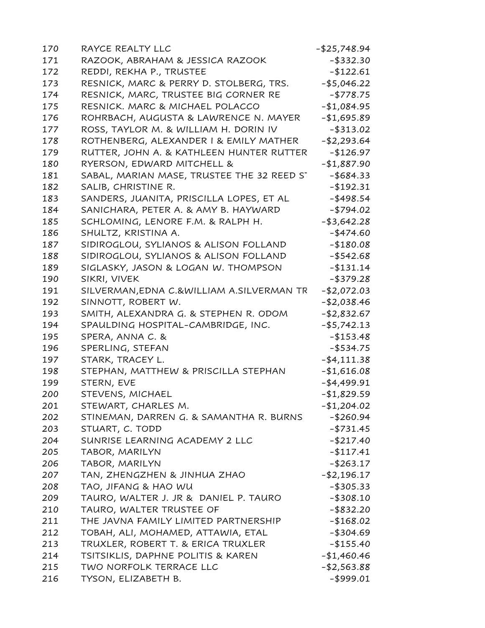| 170 | RAYCE REALTY LLC                           | $-$ \$25,748.94 |
|-----|--------------------------------------------|-----------------|
| 171 | RAZOOK, ABRAHAM & JESSICA RAZOOK           | $-$ \$332.30    |
| 172 | REDDI, REKHA P., TRUSTEE                   | $-$122.61$      |
| 173 | RESNICK, MARC & PERRY D. STOLBERG, TRS.    | $-$ \$5,046.22  |
| 174 | RESNICK, MARC, TRUSTEE BIG CORNER RE       | -\$778.75       |
| 175 | RESNICK. MARC & MICHAEL POLACCO            | $-$1,084.95$    |
| 176 | ROHRBACH, AUGUSTA & LAWRENCE N. MAYER      | $-$1,695.89$    |
| 177 | ROSS, TAYLOR M. & WILLIAM H. DORIN IV      | -\$313.02       |
| 178 | ROTHENBERG, ALEXANDER I & EMILY MATHER     | $-$ \$2,293.64  |
| 179 | RUTTER, JOHN A. & KATHLEEN HUNTER RUTTER   | $-$126.97$      |
| 180 | RYERSON, EDWARD MITCHELL &                 | $-$1,887.90$    |
| 181 | SABAL, MARIAN MASE, TRUSTEE THE 32 REED ST | -\$684.33       |
| 182 | SALIB, CHRISTINE R.                        | -\$192.31       |
| 183 | SANDERS, JUANITA, PRISCILLA LOPES, ET AL   | -\$498.54       |
| 184 | SANICHARA, PETER A. & AMY B. HAYWARD       | $-$ \$794.02    |
| 185 | SCHLOMING, LENORE F.M. & RALPH H.          | $-$ \$3,642.28  |
| 186 | SHULTZ, KRISTINA A.                        | $-$ \$474.60    |
| 187 | SIDIROGLOU, SYLIANOS & ALISON FOLLAND      | $-$180.08$      |
| 188 | SIDIROGLOU, SYLIANOS & ALISON FOLLAND      | $-$ \$542.68    |
| 189 | SIGLASKY, JASON & LOGAN W. THOMPSON        | $- $131.14$     |
| 190 | SIKRI, VIVEK                               | $-$ \$379.28    |
| 191 | SILVERMAN, EDNA C.&WILLIAM A.SILVERMAN TR  | $-$2,072.03$    |
| 192 | SINNOTT, ROBERT W.                         | $-$ \$2,038.46  |
| 193 | SMITH, ALEXANDRA G. & STEPHEN R. ODOM      | $-$ \$2,832.67  |
| 194 | SPAULDING HOSPITAL-CAMBRIDGE, INC.         | $-$ \$5,742.13  |
| 195 | SPERA, ANNA C. &                           | $-$ \$153.48    |
| 196 | SPERLING, STEFAN                           | $-$ \$534.75    |
| 197 | STARK, TRACEY L.                           | $-$ \$4,111.38  |
| 198 | STEPHAN, MATTHEW & PRISCILLA STEPHAN       | $-$1,616.08$    |
| 199 | STERN, EVE                                 | $-$ \$4,499.91  |
| 200 | STEVENS, MICHAEL                           | $-$1,829.59$    |
| 201 | STEWART, CHARLES M.                        | $-$1,204.02$    |
| 202 | STINEMAN, DARREN G. & SAMANTHA R. BURNS    | -\$260.94       |
| 203 | STUART, C. TODD                            | $-$ \$731.45    |
| 204 | SUNRISE LEARNING ACADEMY 2 LLC             | $-$ \$217.40    |
| 205 | TABOR, MARILYN                             | $-117.41$       |
| 206 | TABOR, MARILYN                             | $-$ \$263.17    |
| 207 | TAN, ZHENGZHEN & JINHUA ZHAO               | $-$ \$2,196.17  |
| 208 | TAO, JIFANG & HAO WU                       | $-$ \$305.33    |
| 209 | TAURO, WALTER J. JR & DANIEL P. TAURO      | $-$ \$308.10    |
| 210 | TAURO, WALTER TRUSTEE OF                   | -\$832.20       |
| 211 | THE JAVNA FAMILY LIMITED PARTNERSHIP       | $-$168.02$      |
| 212 | TOBAH, ALI, MOHAMED, ATTAWIA, ETAL         | $-$ \$304.69    |
| 213 | TRUXLER, ROBERT T. & ERICA TRUXLER         | $-$ \$155.40    |
| 214 | TSITSIKLIS, DAPHNE POLITIS & KAREN         | $-$1,460.46$    |
| 215 | TWO NORFOLK TERRACE LLC                    | $-$ \$2,563.88  |
| 216 | TYSON, ELIZABETH B.                        | $-$ \$999.01    |